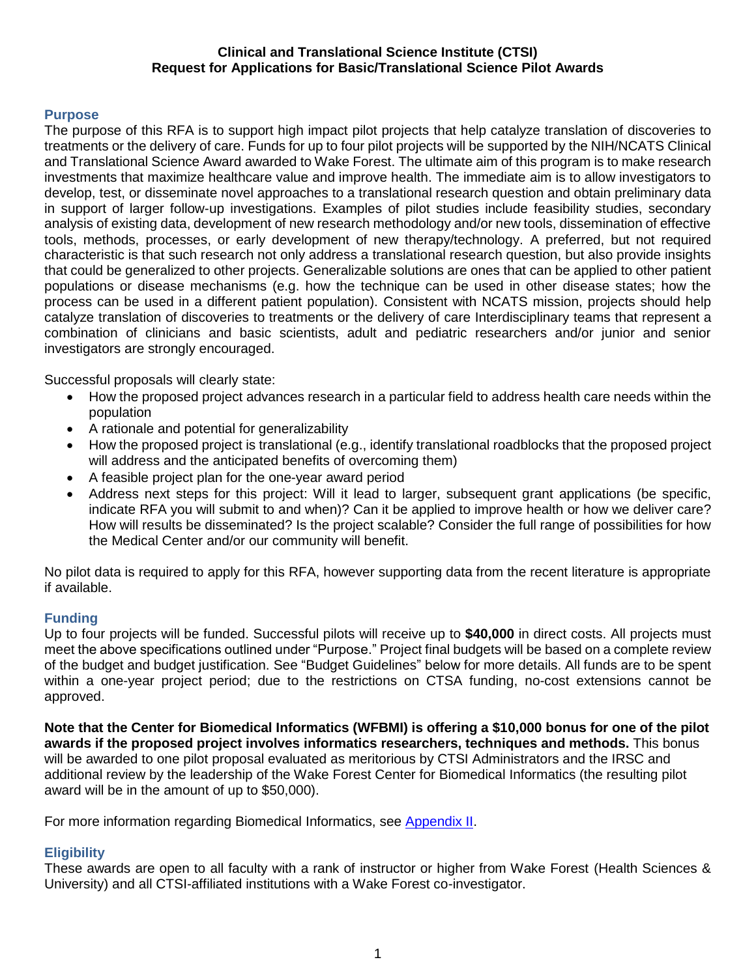#### **Clinical and Translational Science Institute (CTSI) Request for Applications for Basic/Translational Science Pilot Awards**

## **Purpose**

The purpose of this RFA is to support high impact pilot projects that help catalyze translation of discoveries to treatments or the delivery of care. Funds for up to four pilot projects will be supported by the NIH/NCATS Clinical and Translational Science Award awarded to Wake Forest. The ultimate aim of this program is to make research investments that maximize healthcare value and improve health. The immediate aim is to allow investigators to develop, test, or disseminate novel approaches to a translational research question and obtain preliminary data in support of larger follow-up investigations. Examples of pilot studies include feasibility studies, secondary analysis of existing data, development of new research methodology and/or new tools, dissemination of effective tools, methods, processes, or early development of new therapy/technology. A preferred, but not required characteristic is that such research not only address a translational research question, but also provide insights that could be generalized to other projects. Generalizable solutions are ones that can be applied to other patient populations or disease mechanisms (e.g. how the technique can be used in other disease states; how the process can be used in a different patient population). Consistent with NCATS mission, projects should help catalyze translation of discoveries to treatments or the delivery of care Interdisciplinary teams that represent a combination of clinicians and basic scientists, adult and pediatric researchers and/or junior and senior investigators are strongly encouraged.

Successful proposals will clearly state:

- How the proposed project advances research in a particular field to address health care needs within the population
- A rationale and potential for generalizability
- How the proposed project is translational (e.g., identify translational roadblocks that the proposed project will address and the anticipated benefits of overcoming them)
- A feasible project plan for the one-year award period
- Address next steps for this project: Will it lead to larger, subsequent grant applications (be specific, indicate RFA you will submit to and when)? Can it be applied to improve health or how we deliver care? How will results be disseminated? Is the project scalable? Consider the full range of possibilities for how the Medical Center and/or our community will benefit.

No pilot data is required to apply for this RFA, however supporting data from the recent literature is appropriate if available.

## **Funding**

Up to four projects will be funded. Successful pilots will receive up to **\$40,000** in direct costs. All projects must meet the above specifications outlined under "Purpose." Project final budgets will be based on a complete review of the budget and budget justification. See "Budget Guidelines" below for more details. All funds are to be spent within a one-year project period; due to the restrictions on CTSA funding, no-cost extensions cannot be approved.

**Note that the Center for Biomedical Informatics (WFBMI) is offering a \$10,000 bonus for one of the pilot awards if the proposed project involves informatics researchers, techniques and methods.** This bonus will be awarded to one pilot proposal evaluated as meritorious by CTSI Administrators and the IRSC and additional review by the leadership of the Wake Forest Center for Biomedical Informatics (the resulting pilot award will be in the amount of up to \$50,000).

For more information regarding Biomedical Informatics, see [Appendix II.](#page-6-0)

## **Eligibility**

These awards are open to all faculty with a rank of instructor or higher from Wake Forest (Health Sciences & University) and all CTSI-affiliated institutions with a Wake Forest co-investigator.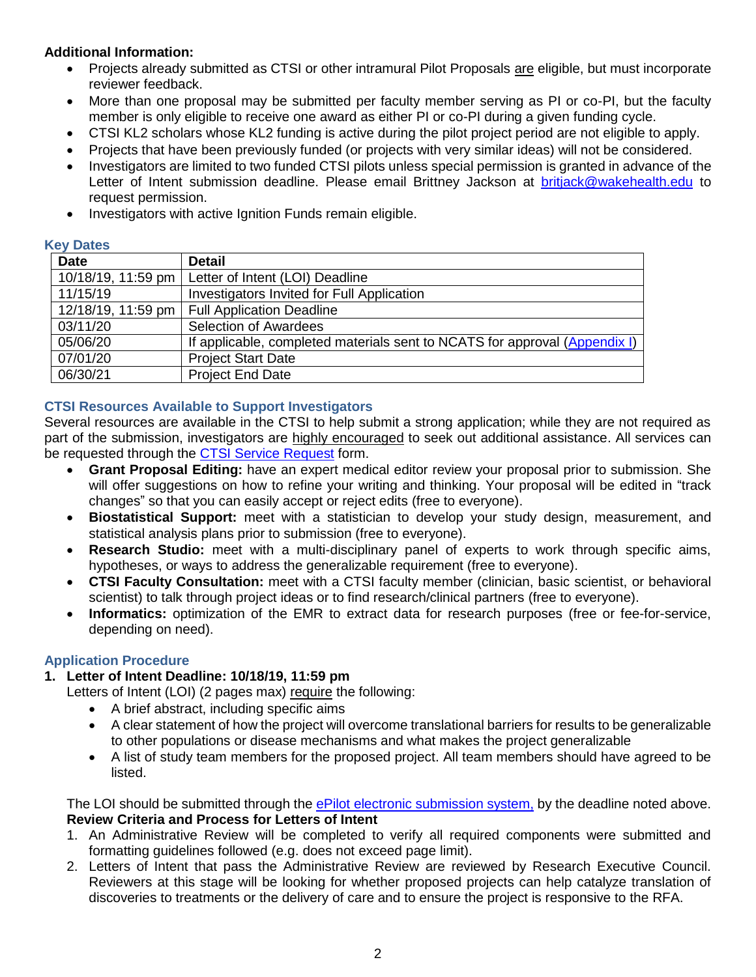# **Additional Information:**

- Projects already submitted as CTSI or other intramural Pilot Proposals are eligible, but must incorporate reviewer feedback.
- More than one proposal may be submitted per faculty member serving as PI or co-PI, but the faculty member is only eligible to receive one award as either PI or co-PI during a given funding cycle.
- CTSI KL2 scholars whose KL2 funding is active during the pilot project period are not eligible to apply.
- Projects that have been previously funded (or projects with very similar ideas) will not be considered.
- Investigators are limited to two funded CTSI pilots unless special permission is granted in advance of the Letter of Intent submission deadline. Please email Brittney Jackson at [britjack@wakehealth.edu](mailto:britjack@wakehealth.edu) to request permission.
- Investigators with active Ignition Funds remain eligible.

#### **Key Dates**

| <b>Date</b>        | Detail                                                                     |
|--------------------|----------------------------------------------------------------------------|
| 10/18/19, 11:59 pm | Letter of Intent (LOI) Deadline                                            |
| 11/15/19           | Investigators Invited for Full Application                                 |
|                    | 12/18/19, 11:59 pm   Full Application Deadline                             |
| 03/11/20           | Selection of Awardees                                                      |
| 05/06/20           | If applicable, completed materials sent to NCATS for approval (Appendix I) |
| 07/01/20           | <b>Project Start Date</b>                                                  |
| 06/30/21           | <b>Project End Date</b>                                                    |

## **CTSI Resources Available to Support Investigators**

Several resources are available in the CTSI to help submit a strong application; while they are not required as part of the submission, investigators are highly encouraged to seek out additional assistance. All services can be requested through the **CTSI Service Request** form.

- **Grant Proposal Editing:** have an expert medical editor review your proposal prior to submission. She will offer suggestions on how to refine your writing and thinking. Your proposal will be edited in "track changes" so that you can easily accept or reject edits (free to everyone).
- **Biostatistical Support:** meet with a statistician to develop your study design, measurement, and statistical analysis plans prior to submission (free to everyone).
- **Research Studio:** meet with a multi-disciplinary panel of experts to work through specific aims, hypotheses, or ways to address the generalizable requirement (free to everyone).
- **CTSI Faculty Consultation:** meet with a CTSI faculty member (clinician, basic scientist, or behavioral scientist) to talk through project ideas or to find research/clinical partners (free to everyone).
- **Informatics:** optimization of the EMR to extract data for research purposes (free or fee-for-service, depending on need).

## **Application Procedure**

## **1. Letter of Intent Deadline: 10/18/19, 11:59 pm**

Letters of Intent (LOI) (2 pages max) require the following:

- A brief abstract, including specific aims
- A clear statement of how the project will overcome translational barriers for results to be generalizable to other populations or disease mechanisms and what makes the project generalizable
- A list of study team members for the proposed project. All team members should have agreed to be listed.

The LOI should be submitted through the [ePilot electronic submission system,](https://redcap.wakehealth.edu/redcap/surveys/?s=LFR8FDXLR3) by the deadline noted above. **Review Criteria and Process for Letters of Intent**

- 1. An Administrative Review will be completed to verify all required components were submitted and formatting guidelines followed (e.g. does not exceed page limit).
- 2. Letters of Intent that pass the Administrative Review are reviewed by Research Executive Council. Reviewers at this stage will be looking for whether proposed projects can help catalyze translation of discoveries to treatments or the delivery of care and to ensure the project is responsive to the RFA.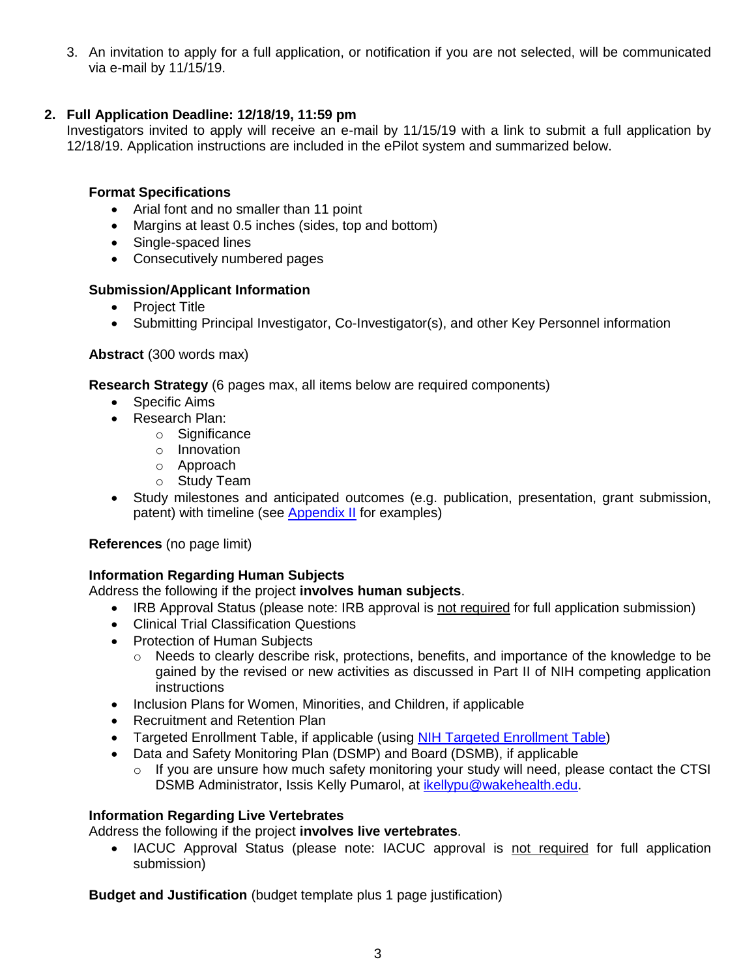3. An invitation to apply for a full application, or notification if you are not selected, will be communicated via e-mail by 11/15/19.

# **2. Full Application Deadline: 12/18/19, 11:59 pm**

Investigators invited to apply will receive an e-mail by 11/15/19 with a link to submit a full application by 12/18/19. Application instructions are included in the ePilot system and summarized below.

# **Format Specifications**

- Arial font and no smaller than 11 point
- Margins at least 0.5 inches (sides, top and bottom)
- Single-spaced lines
- Consecutively numbered pages

# **Submission/Applicant Information**

- Project Title
- Submitting Principal Investigator, Co-Investigator(s), and other Key Personnel information

## **Abstract** (300 words max)

**Research Strategy** (6 pages max, all items below are required components)

- Specific Aims
- Research Plan:
	- o Significance
	- o Innovation
	- o Approach
	- o Study Team
- Study milestones and anticipated outcomes (e.g. publication, presentation, grant submission, patent) with timeline (see [Appendix II](#page-7-0) for examples)

## **References** (no page limit)

# **Information Regarding Human Subjects**

Address the following if the project **involves human subjects**.

- IRB Approval Status (please note: IRB approval is not required for full application submission)
- Clinical Trial Classification Questions
- Protection of Human Subjects
	- o Needs to clearly describe risk, protections, benefits, and importance of the knowledge to be gained by the revised or new activities as discussed in Part II of NIH competing application **instructions**
- Inclusion Plans for Women, Minorities, and Children, if applicable
- Recruitment and Retention Plan
- Targeted Enrollment Table, if applicable (using [NIH Targeted Enrollment Table\)](https://wakehealth.sharepoint.com/:w:/r/teams/CTSIWebCollection/Shared%20Documents/CSTI-Public/Enrollment%20Report%20Table%20Template.docx)
- Data and Safety Monitoring Plan (DSMP) and Board (DSMB), if applicable
	- o If you are unsure how much safety monitoring your study will need, please contact the CTSI DSMB Administrator, Issis Kelly Pumarol, at [ikellypu@wakehealth.edu.](mailto:ikellypu@wakehealth.edu)

## **Information Regarding Live Vertebrates**

Address the following if the project **involves live vertebrates**.

• IACUC Approval Status (please note: IACUC approval is not required for full application submission)

**Budget and Justification** (budget template plus 1 page justification)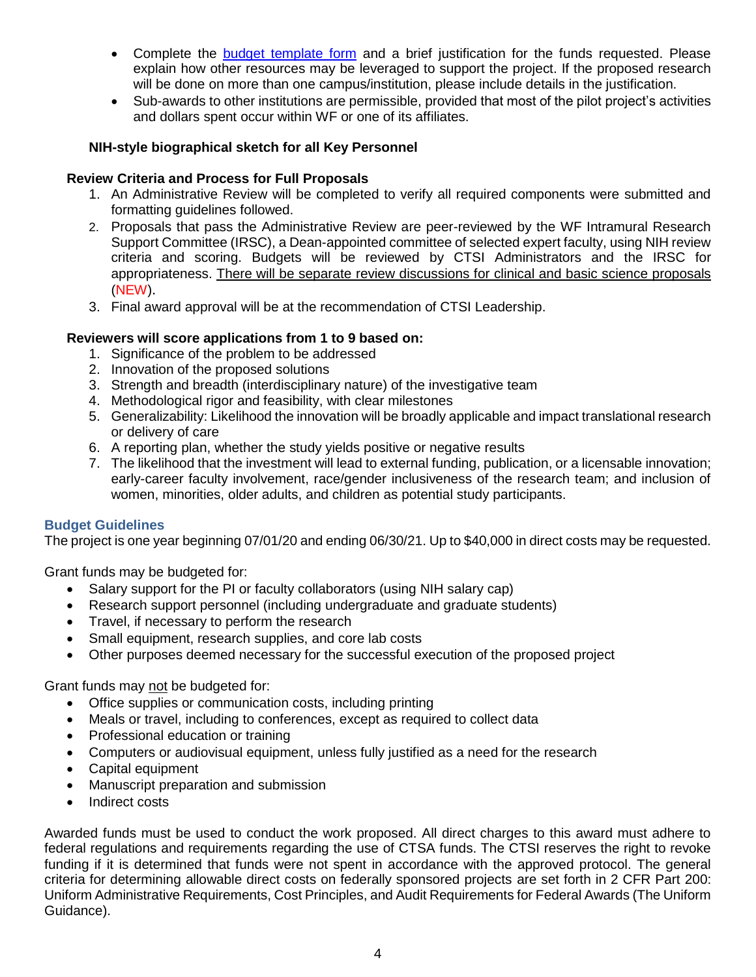- Complete the [budget template form](https://wakehealth.sharepoint.com/:x:/r/teams/CTSIWebCollection/Shared%20Documents/CSTI-Public/CTSI%20Pilot%20Budget%20Template.xlsx) and a brief justification for the funds requested. Please explain how other resources may be leveraged to support the project. If the proposed research will be done on more than one campus/institution, please include details in the justification.
- Sub-awards to other institutions are permissible, provided that most of the pilot project's activities and dollars spent occur within WF or one of its affiliates.

## **NIH-style biographical sketch for all Key Personnel**

## **Review Criteria and Process for Full Proposals**

- 1. An Administrative Review will be completed to verify all required components were submitted and formatting guidelines followed.
- 2. Proposals that pass the Administrative Review are peer-reviewed by the WF Intramural Research Support Committee (IRSC), a Dean-appointed committee of selected expert faculty, using NIH review criteria and scoring. Budgets will be reviewed by CTSI Administrators and the IRSC for appropriateness. There will be separate review discussions for clinical and basic science proposals (NEW).
- 3. Final award approval will be at the recommendation of CTSI Leadership.

## **Reviewers will score applications from 1 to 9 based on:**

- 1. Significance of the problem to be addressed
- 2. Innovation of the proposed solutions
- 3. Strength and breadth (interdisciplinary nature) of the investigative team
- 4. Methodological rigor and feasibility, with clear milestones
- 5. Generalizability: Likelihood the innovation will be broadly applicable and impact translational research or delivery of care
- 6. A reporting plan, whether the study yields positive or negative results
- 7. The likelihood that the investment will lead to external funding, publication, or a licensable innovation; early-career faculty involvement, race/gender inclusiveness of the research team; and inclusion of women, minorities, older adults, and children as potential study participants.

## **Budget Guidelines**

The project is one year beginning 07/01/20 and ending 06/30/21. Up to \$40,000 in direct costs may be requested.

Grant funds may be budgeted for:

- Salary support for the PI or faculty collaborators (using NIH salary cap)
- Research support personnel (including undergraduate and graduate students)
- Travel, if necessary to perform the research
- Small equipment, research supplies, and core lab costs
- Other purposes deemed necessary for the successful execution of the proposed project

Grant funds may not be budgeted for:

- Office supplies or communication costs, including printing
- Meals or travel, including to conferences, except as required to collect data
- Professional education or training
- Computers or audiovisual equipment, unless fully justified as a need for the research
- Capital equipment
- Manuscript preparation and submission
- Indirect costs

Awarded funds must be used to conduct the work proposed. All direct charges to this award must adhere to federal regulations and requirements regarding the use of CTSA funds. The CTSI reserves the right to revoke funding if it is determined that funds were not spent in accordance with the approved protocol. The general criteria for determining allowable direct costs on federally sponsored projects are set forth in 2 CFR Part 200: Uniform Administrative Requirements, Cost Principles, and Audit Requirements for Federal Awards (The Uniform Guidance).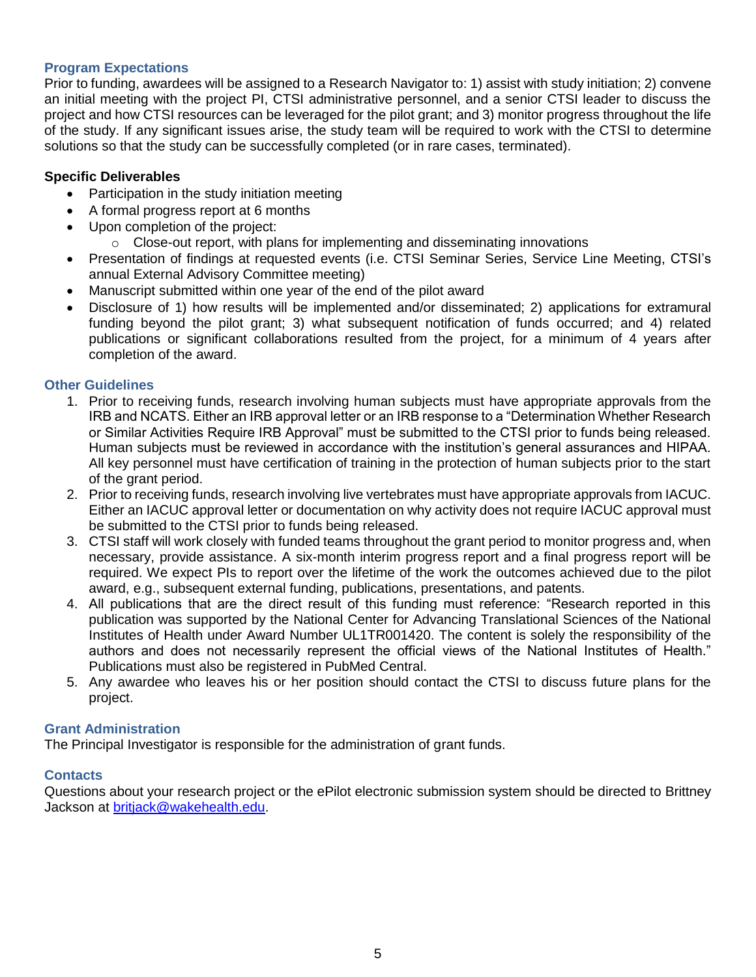#### **Program Expectations**

Prior to funding, awardees will be assigned to a Research Navigator to: 1) assist with study initiation; 2) convene an initial meeting with the project PI, CTSI administrative personnel, and a senior CTSI leader to discuss the project and how CTSI resources can be leveraged for the pilot grant; and 3) monitor progress throughout the life of the study. If any significant issues arise, the study team will be required to work with the CTSI to determine solutions so that the study can be successfully completed (or in rare cases, terminated).

#### **Specific Deliverables**

- Participation in the study initiation meeting
- A formal progress report at 6 months
- Upon completion of the project:
	- o Close-out report, with plans for implementing and disseminating innovations
- Presentation of findings at requested events (i.e. CTSI Seminar Series, Service Line Meeting, CTSI's annual External Advisory Committee meeting)
- Manuscript submitted within one year of the end of the pilot award
- Disclosure of 1) how results will be implemented and/or disseminated; 2) applications for extramural funding beyond the pilot grant; 3) what subsequent notification of funds occurred; and 4) related publications or significant collaborations resulted from the project, for a minimum of 4 years after completion of the award.

#### **Other Guidelines**

- 1. Prior to receiving funds, research involving human subjects must have appropriate approvals from the IRB and NCATS. Either an IRB approval letter or an IRB response to a "Determination Whether Research or Similar Activities Require IRB Approval" must be submitted to the CTSI prior to funds being released. Human subjects must be reviewed in accordance with the institution's general assurances and HIPAA. All key personnel must have certification of training in the protection of human subjects prior to the start of the grant period.
- 2. Prior to receiving funds, research involving live vertebrates must have appropriate approvals from IACUC. Either an IACUC approval letter or documentation on why activity does not require IACUC approval must be submitted to the CTSI prior to funds being released.
- 3. CTSI staff will work closely with funded teams throughout the grant period to monitor progress and, when necessary, provide assistance. A six-month interim progress report and a final progress report will be required. We expect PIs to report over the lifetime of the work the outcomes achieved due to the pilot award, e.g., subsequent external funding, publications, presentations, and patents.
- 4. All publications that are the direct result of this funding must reference: "Research reported in this publication was supported by the National Center for Advancing Translational Sciences of the National Institutes of Health under Award Number UL1TR001420. The content is solely the responsibility of the authors and does not necessarily represent the official views of the National Institutes of Health." Publications must also be registered in PubMed Central.
- 5. Any awardee who leaves his or her position should contact the CTSI to discuss future plans for the project.

#### **Grant Administration**

The Principal Investigator is responsible for the administration of grant funds.

## **Contacts**

Questions about your research project or the ePilot electronic submission system should be directed to Brittney Jackson at [britjack@wakehealth.edu.](mailto:britjack@wakehealth.edu)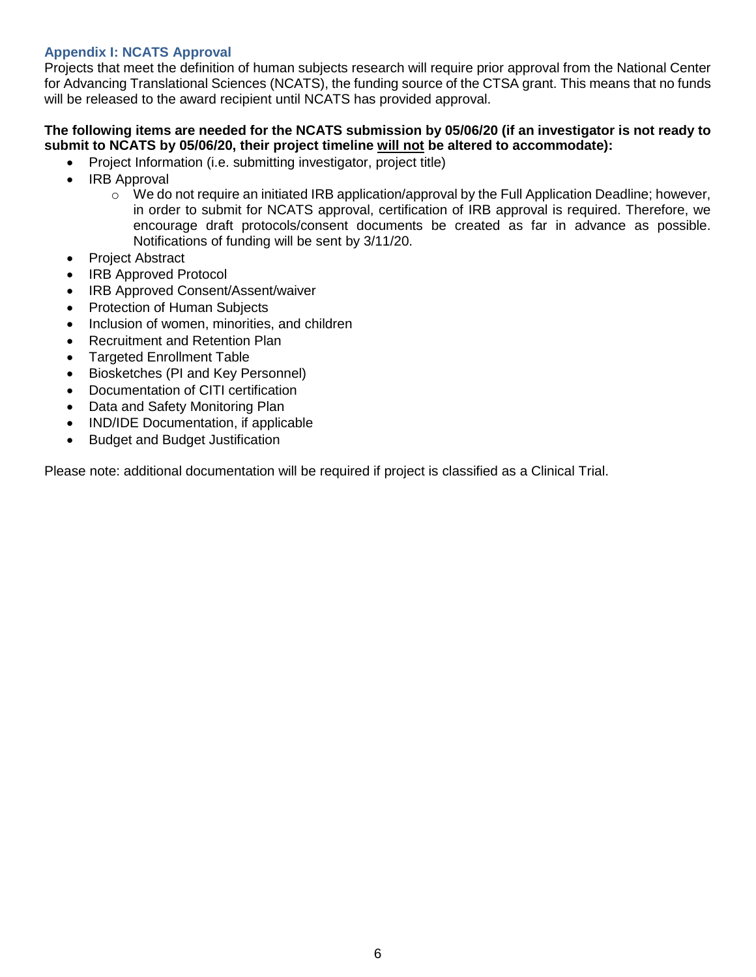# <span id="page-5-0"></span>**Appendix I: NCATS Approval**

Projects that meet the definition of human subjects research will require prior approval from the National Center for Advancing Translational Sciences (NCATS), the funding source of the CTSA grant. This means that no funds will be released to the award recipient until NCATS has provided approval.

## **The following items are needed for the NCATS submission by 05/06/20 (if an investigator is not ready to submit to NCATS by 05/06/20, their project timeline will not be altered to accommodate):**

- Project Information (i.e. submitting investigator, project title)
- IRB Approval
	- $\circ$  We do not require an initiated IRB application/approval by the Full Application Deadline; however, in order to submit for NCATS approval, certification of IRB approval is required. Therefore, we encourage draft protocols/consent documents be created as far in advance as possible. Notifications of funding will be sent by 3/11/20.
- Project Abstract
- IRB Approved Protocol
- IRB Approved Consent/Assent/waiver
- Protection of Human Subjects
- Inclusion of women, minorities, and children
- Recruitment and Retention Plan
- Targeted Enrollment Table
- Biosketches (PI and Key Personnel)
- Documentation of CITI certification
- Data and Safety Monitoring Plan
- IND/IDE Documentation, if applicable
- Budget and Budget Justification

Please note: additional documentation will be required if project is classified as a Clinical Trial.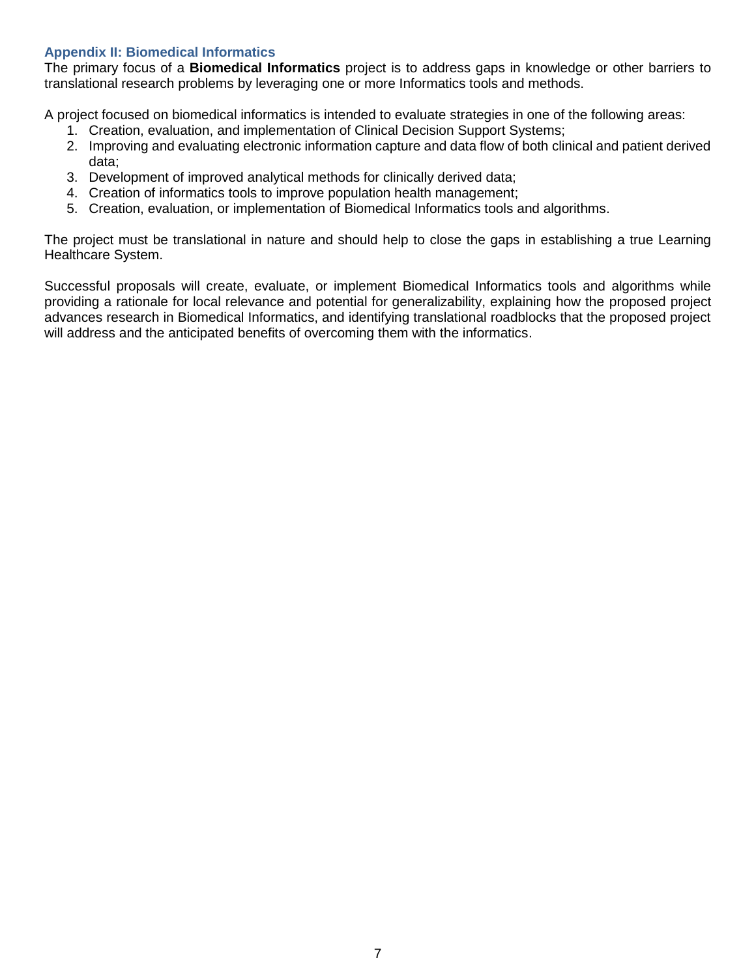## <span id="page-6-0"></span>**Appendix II: Biomedical Informatics**

The primary focus of a **Biomedical Informatics** project is to address gaps in knowledge or other barriers to translational research problems by leveraging one or more Informatics tools and methods.

A project focused on biomedical informatics is intended to evaluate strategies in one of the following areas:

- 1. Creation, evaluation, and implementation of Clinical Decision Support Systems;
- 2. Improving and evaluating electronic information capture and data flow of both clinical and patient derived data;
- 3. Development of improved analytical methods for clinically derived data;
- 4. Creation of informatics tools to improve population health management;
- 5. Creation, evaluation, or implementation of Biomedical Informatics tools and algorithms.

The project must be translational in nature and should help to close the gaps in establishing a true Learning Healthcare System.

Successful proposals will create, evaluate, or implement Biomedical Informatics tools and algorithms while providing a rationale for local relevance and potential for generalizability, explaining how the proposed project advances research in Biomedical Informatics, and identifying translational roadblocks that the proposed project will address and the anticipated benefits of overcoming them with the informatics.